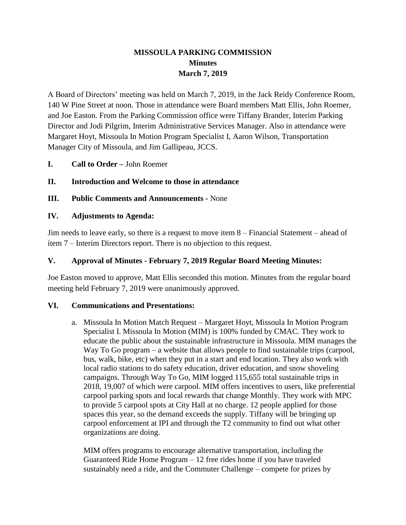# **MISSOULA PARKING COMMISSION Minutes March 7, 2019**

A Board of Directors' meeting was held on March 7, 2019, in the Jack Reidy Conference Room, 140 W Pine Street at noon. Those in attendance were Board members Matt Ellis, John Roemer, and Joe Easton. From the Parking Commission office were Tiffany Brander, Interim Parking Director and Jodi Pilgrim, Interim Administrative Services Manager. Also in attendance were Margaret Hoyt, Missoula In Motion Program Specialist I, Aaron Wilson, Transportation Manager City of Missoula, and Jim Gallipeau, JCCS.

**I. Call to Order –** John Roemer

## **II. Introduction and Welcome to those in attendance**

**III. Public Comments and Announcements -** None

#### **IV. Adjustments to Agenda:**

Jim needs to leave early, so there is a request to move item 8 – Financial Statement – ahead of item 7 – Interim Directors report. There is no objection to this request.

### **V. Approval of Minutes - February 7, 2019 Regular Board Meeting Minutes:**

Joe Easton moved to approve, Matt Ellis seconded this motion. Minutes from the regular board meeting held February 7, 2019 were unanimously approved.

#### **VI. Communications and Presentations:**

a. Missoula In Motion Match Request – Margaret Hoyt, Missoula In Motion Program Specialist I. Missoula In Motion (MIM) is 100% funded by CMAC. They work to educate the public about the sustainable infrastructure in Missoula. MIM manages the Way To Go program – a website that allows people to find sustainable trips (carpool, bus, walk, bike, etc) when they put in a start and end location. They also work with local radio stations to do safety education, driver education, and snow shoveling campaigns. Through Way To Go, MIM logged 115,655 total sustainable trips in 2018, 19,007 of which were carpool. MIM offers incentives to users, like preferential carpool parking spots and local rewards that change Monthly. They work with MPC to provide 5 carpool spots at City Hall at no charge. 12 people applied for those spaces this year, so the demand exceeds the supply. Tiffany will be bringing up carpool enforcement at IPI and through the T2 community to find out what other organizations are doing.

MIM offers programs to encourage alternative transportation, including the Guaranteed Ride Home Program – 12 free rides home if you have traveled sustainably need a ride, and the Commuter Challenge – compete for prizes by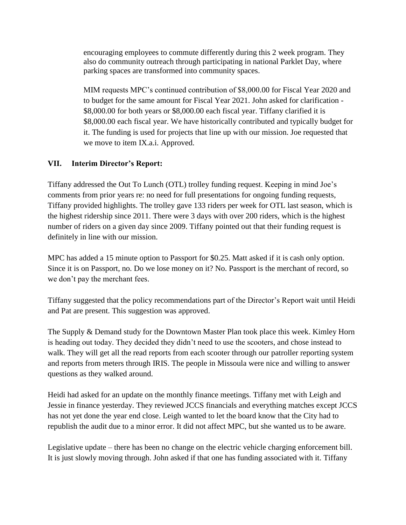encouraging employees to commute differently during this 2 week program. They also do community outreach through participating in national Parklet Day, where parking spaces are transformed into community spaces.

MIM requests MPC's continued contribution of \$8,000.00 for Fiscal Year 2020 and to budget for the same amount for Fiscal Year 2021. John asked for clarification - \$8,000.00 for both years or \$8,000.00 each fiscal year. Tiffany clarified it is \$8,000.00 each fiscal year. We have historically contributed and typically budget for it. The funding is used for projects that line up with our mission. Joe requested that we move to item IX.a.i. Approved.

## **VII. Interim Director's Report:**

Tiffany addressed the Out To Lunch (OTL) trolley funding request. Keeping in mind Joe's comments from prior years re: no need for full presentations for ongoing funding requests, Tiffany provided highlights. The trolley gave 133 riders per week for OTL last season, which is the highest ridership since 2011. There were 3 days with over 200 riders, which is the highest number of riders on a given day since 2009. Tiffany pointed out that their funding request is definitely in line with our mission.

MPC has added a 15 minute option to Passport for \$0.25. Matt asked if it is cash only option. Since it is on Passport, no. Do we lose money on it? No. Passport is the merchant of record, so we don't pay the merchant fees.

Tiffany suggested that the policy recommendations part of the Director's Report wait until Heidi and Pat are present. This suggestion was approved.

The Supply & Demand study for the Downtown Master Plan took place this week. Kimley Horn is heading out today. They decided they didn't need to use the scooters, and chose instead to walk. They will get all the read reports from each scooter through our patroller reporting system and reports from meters through IRIS. The people in Missoula were nice and willing to answer questions as they walked around.

Heidi had asked for an update on the monthly finance meetings. Tiffany met with Leigh and Jessie in finance yesterday. They reviewed JCCS financials and everything matches except JCCS has not yet done the year end close. Leigh wanted to let the board know that the City had to republish the audit due to a minor error. It did not affect MPC, but she wanted us to be aware.

Legislative update – there has been no change on the electric vehicle charging enforcement bill. It is just slowly moving through. John asked if that one has funding associated with it. Tiffany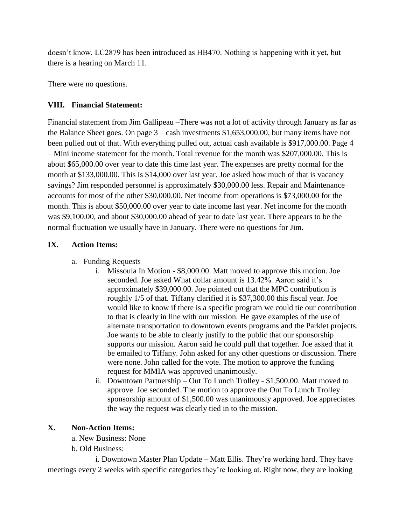doesn't know. LC2879 has been introduced as HB470. Nothing is happening with it yet, but there is a hearing on March 11.

There were no questions.

## **VIII. Financial Statement:**

Financial statement from Jim Gallipeau –There was not a lot of activity through January as far as the Balance Sheet goes. On page 3 – cash investments \$1,653,000.00, but many items have not been pulled out of that. With everything pulled out, actual cash available is \$917,000.00. Page 4 – Mini income statement for the month. Total revenue for the month was \$207,000.00. This is about \$65,000.00 over year to date this time last year. The expenses are pretty normal for the month at \$133,000.00. This is \$14,000 over last year. Joe asked how much of that is vacancy savings? Jim responded personnel is approximately \$30,000.00 less. Repair and Maintenance accounts for most of the other \$30,000.00. Net income from operations is \$73,000.00 for the month. This is about \$50,000.00 over year to date income last year. Net income for the month was \$9,100.00, and about \$30,000.00 ahead of year to date last year. There appears to be the normal fluctuation we usually have in January. There were no questions for Jim.

## **IX. Action Items:**

- a. Funding Requests
	- i. Missoula In Motion \$8,000.00. Matt moved to approve this motion. Joe seconded. Joe asked What dollar amount is 13.42%. Aaron said it's approximately \$39,000.00. Joe pointed out that the MPC contribution is roughly 1/5 of that. Tiffany clarified it is \$37,300.00 this fiscal year. Joe would like to know if there is a specific program we could tie our contribution to that is clearly in line with our mission. He gave examples of the use of alternate transportation to downtown events programs and the Parklet projects. Joe wants to be able to clearly justify to the public that our sponsorship supports our mission. Aaron said he could pull that together. Joe asked that it be emailed to Tiffany. John asked for any other questions or discussion. There were none. John called for the vote. The motion to approve the funding request for MMIA was approved unanimously.
	- ii. Downtown Partnership Out To Lunch Trolley \$1,500.00. Matt moved to approve. Joe seconded. The motion to approve the Out To Lunch Trolley sponsorship amount of \$1,500.00 was unanimously approved. Joe appreciates the way the request was clearly tied in to the mission.

## **X. Non-Action Items:**

a. New Business: None

b. Old Business:

i. Downtown Master Plan Update – Matt Ellis. They're working hard. They have meetings every 2 weeks with specific categories they're looking at. Right now, they are looking